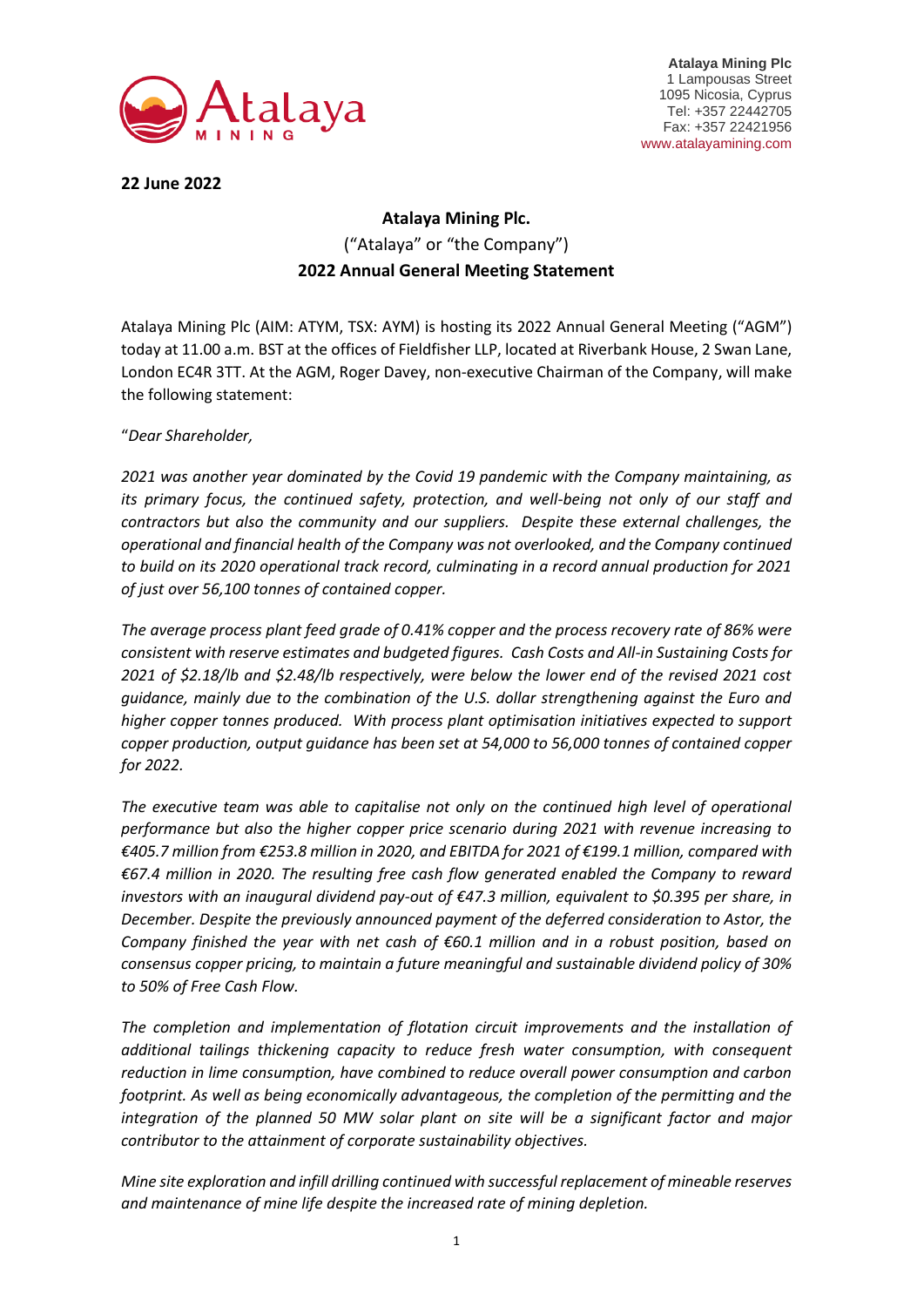

**Atalaya Mining Plc** 1 Lampousas Street 1095 Nicosia, Cyprus Tel: +357 22442705 Fax: +357 22421956 www.atalayamining.com

**22 June 2022**

## **Atalaya Mining Plc.** ("Atalaya" or "the Company") **2022 Annual General Meeting Statement**

Atalaya Mining Plc (AIM: ATYM, TSX: AYM) is hosting its 2022 Annual General Meeting ("AGM") today at 11.00 a.m. BST at the offices of Fieldfisher LLP, located at Riverbank House, 2 Swan Lane, London EC4R 3TT. At the AGM, Roger Davey, non-executive Chairman of the Company, will make the following statement:

"*Dear Shareholder,*

*2021 was another year dominated by the Covid 19 pandemic with the Company maintaining, as its primary focus, the continued safety, protection, and well-being not only of our staff and contractors but also the community and our suppliers. Despite these external challenges, the operational and financial health of the Company was not overlooked, and the Company continued to build on its 2020 operational track record, culminating in a record annual production for 2021 of just over 56,100 tonnes of contained copper.*

*The average process plant feed grade of 0.41% copper and the process recovery rate of 86% were consistent with reserve estimates and budgeted figures. Cash Costs and All-in Sustaining Costs for 2021 of \$2.18/lb and \$2.48/lb respectively, were below the lower end of the revised 2021 cost guidance, mainly due to the combination of the U.S. dollar strengthening against the Euro and higher copper tonnes produced. With process plant optimisation initiatives expected to support copper production, output guidance has been set at 54,000 to 56,000 tonnes of contained copper for 2022.*

*The executive team was able to capitalise not only on the continued high level of operational performance but also the higher copper price scenario during 2021 with revenue increasing to €405.7 million from €253.8 million in 2020, and EBITDA for 2021 of €199.1 million, compared with €67.4 million in 2020. The resulting free cash flow generated enabled the Company to reward investors with an inaugural dividend pay-out of €47.3 million, equivalent to \$0.395 per share, in December. Despite the previously announced payment of the deferred consideration to Astor, the Company finished the year with net cash of €60.1 million and in a robust position, based on consensus copper pricing, to maintain a future meaningful and sustainable dividend policy of 30% to 50% of Free Cash Flow.*

The completion and implementation of flotation circuit improvements and the installation of *additional tailings thickening capacity to reduce fresh water consumption, with consequent reduction in lime consumption, have combined to reduce overall power consumption and carbon footprint. As well as being economically advantageous, the completion of the permitting and the integration of the planned 50 MW solar plant on site will be a significant factor and major contributor to the attainment of corporate sustainability objectives.*

*Mine site exploration and infill drilling continued with successful replacement of mineable reserves and maintenance of mine life despite the increased rate of mining depletion.*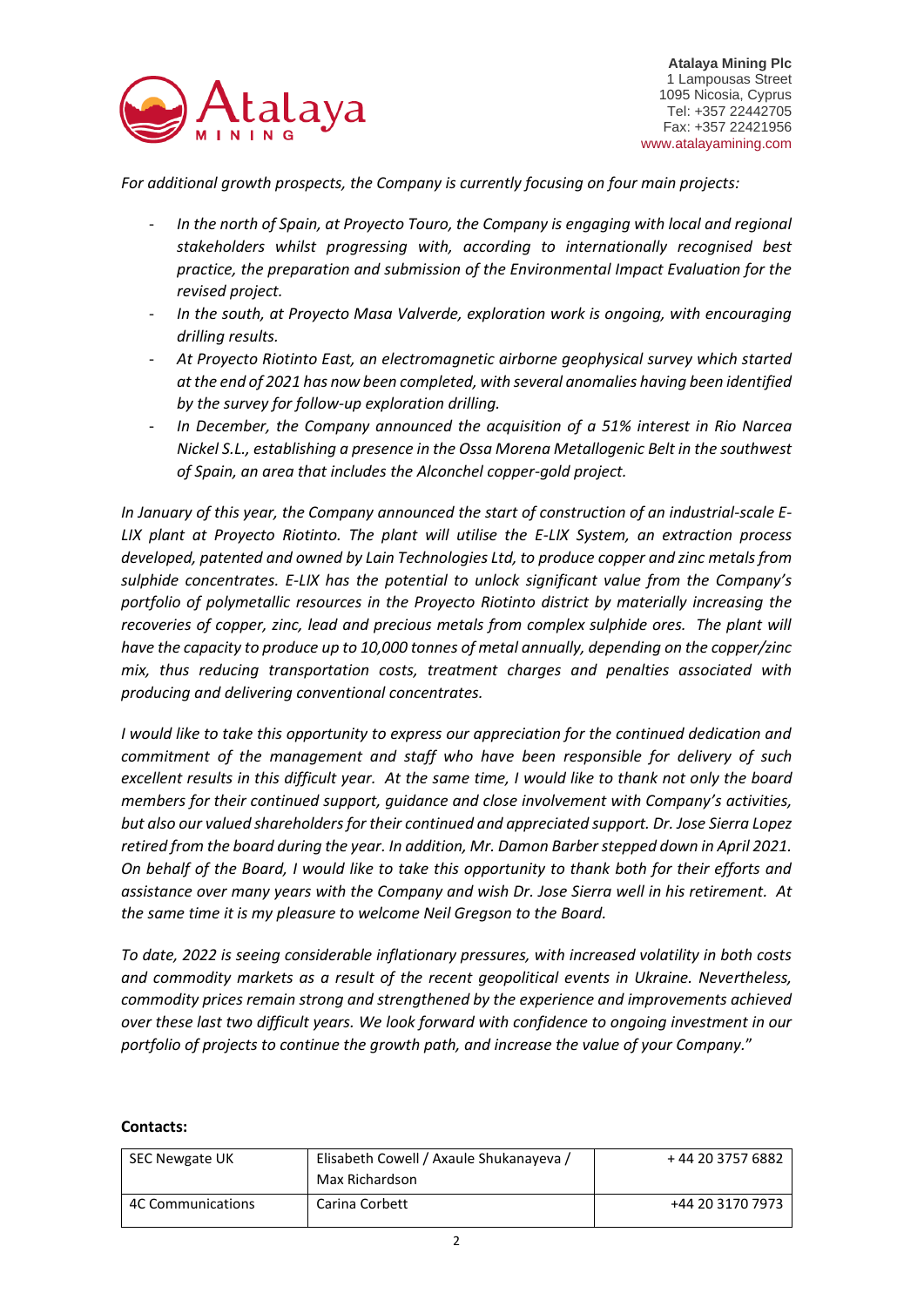

*For additional growth prospects, the Company is currently focusing on four main projects:* 

- In the north of Spain, at Proyecto Touro, the Company is engaging with local and regional *stakeholders whilst progressing with, according to internationally recognised best practice, the preparation and submission of the Environmental Impact Evaluation for the revised project.*
- *In the south, at Proyecto Masa Valverde, exploration work is ongoing, with encouraging drilling results.*
- *At Proyecto Riotinto East, an electromagnetic airborne geophysical survey which started at the end of 2021 has now been completed, with several anomalies having been identified by the survey for follow-up exploration drilling.*
- *In December, the Company announced the acquisition of a 51% interest in Rio Narcea Nickel S.L., establishing a presence in the Ossa Morena Metallogenic Belt in the southwest of Spain, an area that includes the Alconchel copper-gold project.*

*In January of this year, the Company announced the start of construction of an industrial-scale E-LIX plant at Proyecto Riotinto. The plant will utilise the E-LIX System, an extraction process developed, patented and owned by Lain Technologies Ltd, to produce copper and zinc metals from sulphide concentrates. E-LIX has the potential to unlock significant value from the Company's portfolio of polymetallic resources in the Proyecto Riotinto district by materially increasing the recoveries of copper, zinc, lead and precious metals from complex sulphide ores. The plant will have the capacity to produce up to 10,000 tonnes of metal annually, depending on the copper/zinc mix, thus reducing transportation costs, treatment charges and penalties associated with producing and delivering conventional concentrates.*

*I would like to take this opportunity to express our appreciation for the continued dedication and commitment of the management and staff who have been responsible for delivery of such excellent results in this difficult year. At the same time, I would like to thank not only the board members for their continued support, guidance and close involvement with Company's activities, but also our valued shareholders for their continued and appreciated support. Dr. Jose Sierra Lopez retired from the board during the year. In addition, Mr. Damon Barber stepped down in April 2021. On behalf of the Board, I would like to take this opportunity to thank both for their efforts and assistance over many years with the Company and wish Dr. Jose Sierra well in his retirement. At the same time it is my pleasure to welcome Neil Gregson to the Board.* 

*To date, 2022 is seeing considerable inflationary pressures, with increased volatility in both costs and commodity markets as a result of the recent geopolitical events in Ukraine. Nevertheless, commodity prices remain strong and strengthened by the experience and improvements achieved over these last two difficult years. We look forward with confidence to ongoing investment in our portfolio of projects to continue the growth path, and increase the value of your Company.*"

## **Contacts:**

| SEC Newgate UK    | Elisabeth Cowell / Axaule Shukanayeva /<br>Max Richardson | + 44 20 3757 6882 |
|-------------------|-----------------------------------------------------------|-------------------|
| 4C Communications | Carina Corbett                                            | +44 20 3170 7973  |